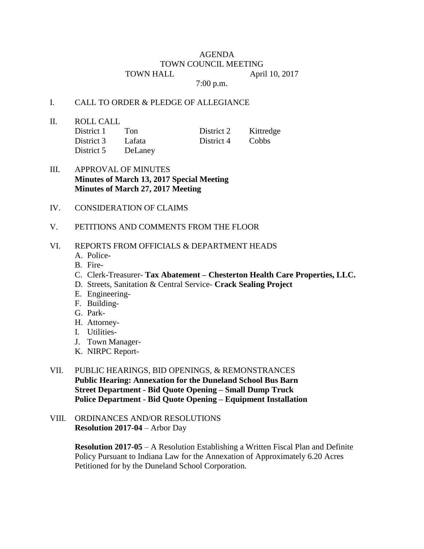## AGENDA TOWN COUNCIL MEETING TOWN HALL April 10, 2017

7:00 p.m.

## I. CALL TO ORDER & PLEDGE OF ALLEGIANCE

II. ROLL CALL

| District 1 | Ton     | District 2 | Kittredge |
|------------|---------|------------|-----------|
| District 3 | Lafata  | District 4 | Cobbs     |
| District 5 | DeLaney |            |           |

## III. APPROVAL OF MINUTES **Minutes of March 13, 2017 Special Meeting Minutes of March 27, 2017 Meeting**

- IV. CONSIDERATION OF CLAIMS
- V. PETITIONS AND COMMENTS FROM THE FLOOR

## VI. REPORTS FROM OFFICIALS & DEPARTMENT HEADS

- A. Police-
- B. Fire-
- C. Clerk-Treasurer- **Tax Abatement – Chesterton Health Care Properties, LLC.**
- D. Streets, Sanitation & Central Service- **Crack Sealing Project**
- E. Engineering-
- F. Building-
- G. Park-
- H. Attorney-
- I. Utilities-
- J. Town Manager-
- K. NIRPC Report-
- VII. PUBLIC HEARINGS, BID OPENINGS, & REMONSTRANCES **Public Hearing: Annexation for the Duneland School Bus Barn Street Department - Bid Quote Opening – Small Dump Truck Police Department - Bid Quote Opening – Equipment Installation**
- VIII. ORDINANCES AND/OR RESOLUTIONS **Resolution 2017-04** – Arbor Day

**Resolution 2017-05** – A Resolution Establishing a Written Fiscal Plan and Definite Policy Pursuant to Indiana Law for the Annexation of Approximately 6.20 Acres Petitioned for by the Duneland School Corporation.